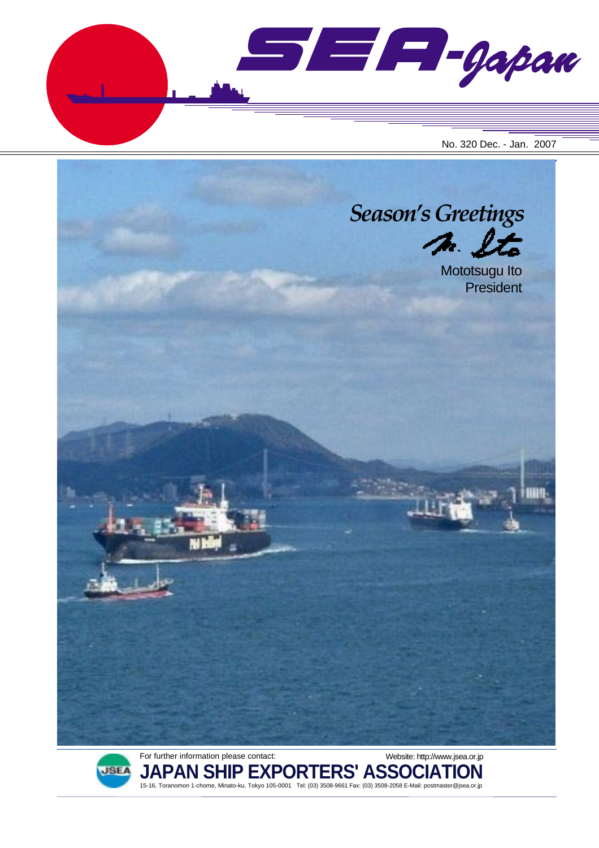$\blacksquare$  $\blacksquare$  $\blacksquare$  $\blacksquare$ No. 320 Dec. - Jan. 2007





**JAPAN SHIP EXPORTERS' ASSOCIATION** 15-16, Toranomon 1-chome, Minato-ku, Tokyo 105-0001 Tel: (03) 3508-9661 Fax: (03) 3508-2058 E-Mail: postmaster@jsea.or.jp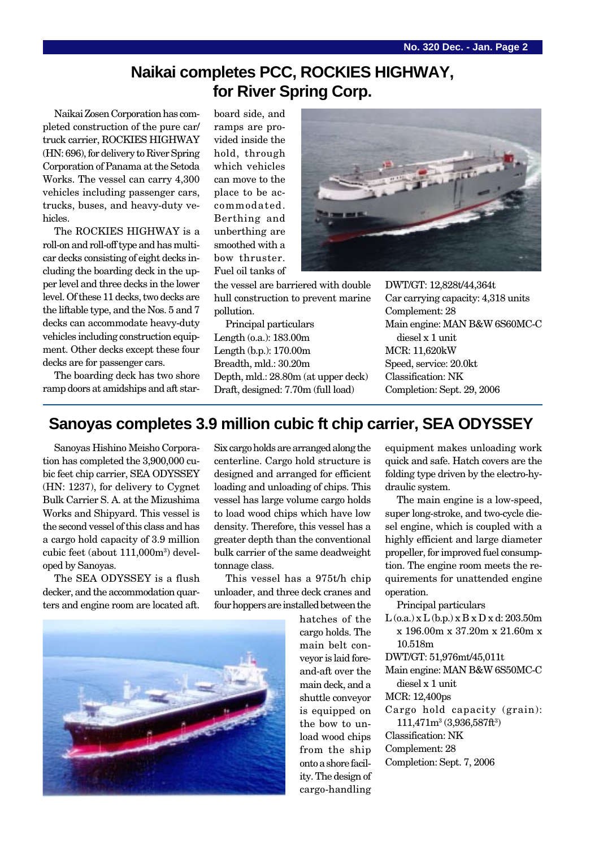## **Naikai completes PCC, ROCKIES HIGHWAY, for River Spring Corp.**

Naikai Zosen Corporation has completed construction of the pure car/ truck carrier, ROCKIES HIGHWAY (HN: 696), for delivery to River Spring Corporation of Panama at the Setoda Works. The vessel can carry 4,300 vehicles including passenger cars, trucks, buses, and heavy-duty vehicles.

The ROCKIES HIGHWAY is a roll-on and roll-off type and has multicar decks consisting of eight decks including the boarding deck in the upper level and three decks in the lower level. Of these 11 decks, two decks are the liftable type, and the Nos. 5 and 7 decks can accommodate heavy-duty vehicles including construction equipment. Other decks except these four decks are for passenger cars.

The boarding deck has two shore ramp doors at amidships and aft starboard side, and ramps are provided inside the hold, through which vehicles can move to the place to be accommodated. Berthing and unberthing are smoothed with a bow thruster. Fuel oil tanks of

the vessel are barriered with double hull construction to prevent marine pollution.

Principal particulars Length (o.a.): 183.00m Length (b.p.): 170.00m Breadth, mld.: 30.20m Depth, mld.: 28.80m (at upper deck) Draft, designed: 7.70m (full load)



DWT/GT: 12,828t/44,364t Car carrying capacity: 4,318 units Complement: 28 Main engine: MAN B&W 6S60MC-C diesel x 1 unit MCR: 11,620kW Speed, service: 20.0kt Classification: NK Completion: Sept. 29, 2006

## **Sanoyas completes 3.9 million cubic ft chip carrier, SEA ODYSSEY**

Sanoyas Hishino Meisho Corporation has completed the 3,900,000 cubic feet chip carrier, SEA ODYSSEY (HN: 1237), for delivery to Cygnet Bulk Carrier S. A. at the Mizushima Works and Shipyard. This vessel is the second vessel of this class and has a cargo hold capacity of 3.9 million cubic feet (about 111,000m3 ) developed by Sanoyas.

The SEA ODYSSEY is a flush decker, and the accommodation quarters and engine room are located aft.

Six cargo holds are arranged along the centerline. Cargo hold structure is designed and arranged for efficient loading and unloading of chips. This vessel has large volume cargo holds to load wood chips which have low density. Therefore, this vessel has a greater depth than the conventional bulk carrier of the same deadweight tonnage class.

This vessel has a 975t/h chip unloader, and three deck cranes and four hoppers are installed between the

hatches of the cargo holds. The main belt conveyor is laid foreand-aft over the main deck, and a shuttle conveyor is equipped on the bow to unload wood chips from the ship onto a shore facility. The design of cargo-handling

equipment makes unloading work quick and safe. Hatch covers are the folding type driven by the electro-hydraulic system.

The main engine is a low-speed, super long-stroke, and two-cycle diesel engine, which is coupled with a highly efficient and large diameter propeller, for improved fuel consumption. The engine room meets the requirements for unattended engine operation.

Principal particulars

 $L$  (o.a.) x  $L$  (b.p.) x  $B$  x  $D$  x d: 203.50m x 196.00m x 37.20m x 21.60m x 10.518m

DWT/GT: 51,976mt/45,011t

Main engine: MAN B&W 6S50MC-C diesel x 1 unit

MCR: 12,400ps

Cargo hold capacity (grain):

 $111,471m^3(3,936,587ft^3)$ 

Classification: NK

Complement: 28 Completion: Sept. 7, 2006

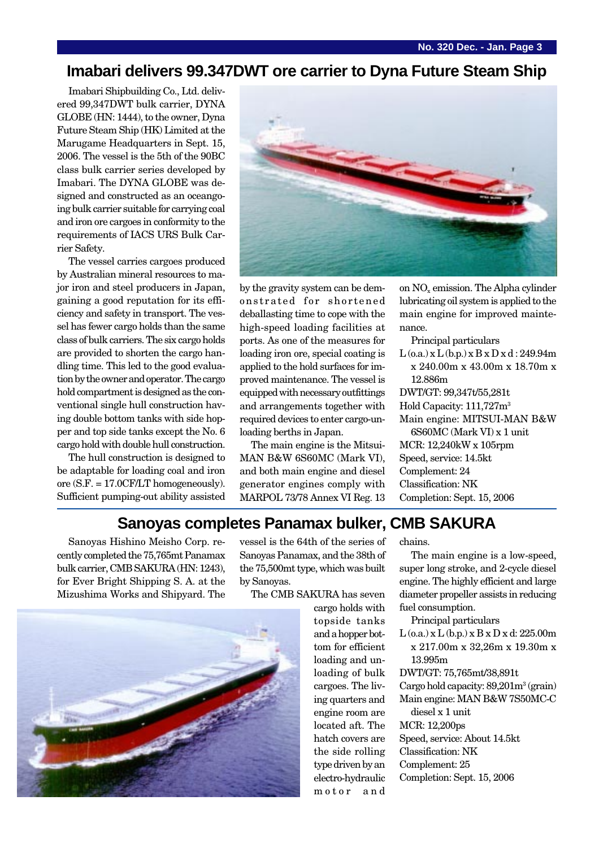## **Imabari delivers 99.347DWT ore carrier to Dyna Future Steam Ship**

Imabari Shipbuilding Co., Ltd. delivered 99,347DWT bulk carrier, DYNA GLOBE (HN: 1444), to the owner, Dyna Future Steam Ship (HK) Limited at the Marugame Headquarters in Sept. 15, 2006. The vessel is the 5th of the 90BC class bulk carrier series developed by Imabari. The DYNA GLOBE was designed and constructed as an oceangoing bulk carrier suitable for carrying coal and iron ore cargoes in conformity to the requirements of IACS URS Bulk Carrier Safety.

The vessel carries cargoes produced by Australian mineral resources to major iron and steel producers in Japan, gaining a good reputation for its efficiency and safety in transport. The vessel has fewer cargo holds than the same class of bulk carriers. The six cargo holds are provided to shorten the cargo handling time. This led to the good evaluation by the owner and operator. The cargo hold compartment is designed as the conventional single hull construction having double bottom tanks with side hopper and top side tanks except the No. 6 cargo hold with double hull construction.

The hull construction is designed to be adaptable for loading coal and iron ore (S.F. = 17.0CF/LT homogeneously). Sufficient pumping-out ability assisted



by the gravity system can be demonstrated for shortened deballasting time to cope with the high-speed loading facilities at ports. As one of the measures for loading iron ore, special coating is applied to the hold surfaces for improved maintenance. The vessel is equipped with necessary outfittings and arrangements together with required devices to enter cargo-unloading berths in Japan.

The main engine is the Mitsui-MAN B&W 6S60MC (Mark VI), and both main engine and diesel generator engines comply with MARPOL 73/78 Annex VI Reg. 13 on  $NO<sub>x</sub>$  emission. The Alpha cylinder lubricating oil system is applied to the main engine for improved maintenance.

Principal particulars

 $L$  (o.a.) x  $L$  (b.p.) x  $B$  x  $D$  x d : 249.94m x 240.00m x 43.00m x 18.70m x 12.886m DWT/GT: 99,347t/55,281t Hold Capacity: 111,727m3 Main engine: MITSUI-MAN B&W 6S60MC (Mark VI) x 1 unit MCR: 12,240kW x 105rpm Speed, service: 14.5kt Complement: 24 Classification: NK Completion: Sept. 15, 2006

## **Sanoyas completes Panamax bulker, CMB SAKURA**

Sanoyas Hishino Meisho Corp. recently completed the 75,765mt Panamax bulk carrier, CMB SAKURA (HN: 1243), for Ever Bright Shipping S. A. at the Mizushima Works and Shipyard. The

vessel is the 64th of the series of Sanoyas Panamax, and the 38th of the 75,500mt type, which was built by Sanoyas.

The CMB SAKURA has seven

cargo holds with topside tanks and a hopper bottom for efficient loading and unloading of bulk cargoes. The living quarters and engine room are located aft. The hatch covers are the side rolling type driven by an electro-hydraulic motor and

chains.

The main engine is a low-speed, super long stroke, and 2-cycle diesel engine. The highly efficient and large diameter propeller assists in reducing fuel consumption.

Principal particulars

 $L$  (o.a.) x  $L$  (b.p.) x  $B$  x  $D$  x d: 225.00m x 217.00m x 32,26m x 19.30m x 13.995m

DWT/GT: 75,765mt/38,891t

Cargo hold capacity: 89,201m<sup>3</sup> (grain) Main engine: MAN B&W 7S50MC-C

diesel x 1 unit MCR: 12,200ps

- Speed, service: About 14.5kt
- Classification: NK
- Complement: 25
- Completion: Sept. 15, 2006

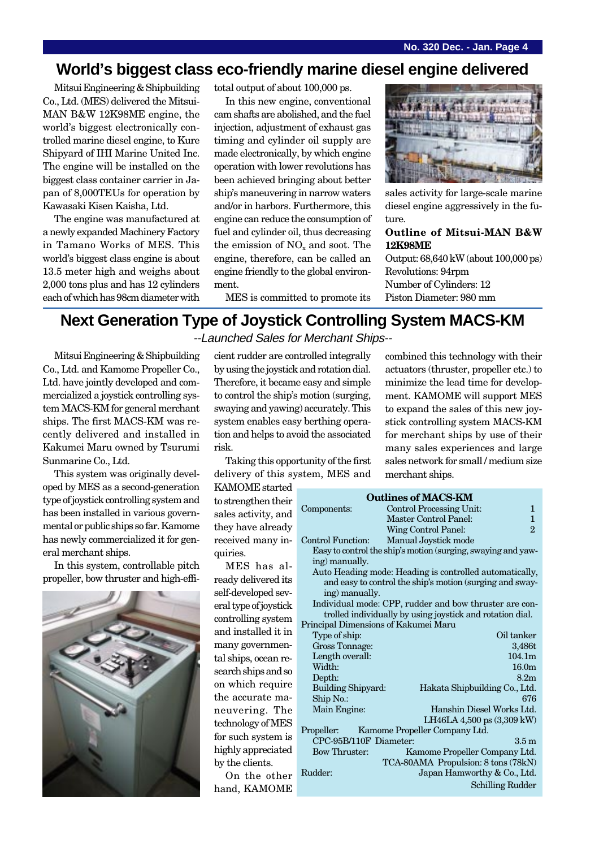# **World's biggest class eco-friendly marine diesel engine delivered**

Mitsui Engineering & Shipbuilding Co., Ltd. (MES) delivered the Mitsui-MAN B&W 12K98ME engine, the world's biggest electronically controlled marine diesel engine, to Kure Shipyard of IHI Marine United Inc. The engine will be installed on the biggest class container carrier in Japan of 8,000TEUs for operation by Kawasaki Kisen Kaisha, Ltd.

The engine was manufactured at a newly expanded Machinery Factory in Tamano Works of MES. This world's biggest class engine is about 13.5 meter high and weighs about 2,000 tons plus and has 12 cylinders each of which has 98cm diameter with

total output of about 100,000 ps.

In this new engine, conventional cam shafts are abolished, and the fuel injection, adjustment of exhaust gas timing and cylinder oil supply are made electronically, by which engine operation with lower revolutions has been achieved bringing about better ship's maneuvering in narrow waters and/or in harbors. Furthermore, this engine can reduce the consumption of fuel and cylinder oil, thus decreasing the emission of  $NO<sub>x</sub>$  and soot. The engine, therefore, can be called an engine friendly to the global environment.



sales activity for large-scale marine diesel engine aggressively in the future.

**Outline of Mitsui-MAN B&W 12K98ME**

Output: 68,640 kW (about 100,000 ps) Revolutions: 94rpm Number of Cylinders: 12 Piston Diameter: 980 mm

MES is committed to promote its

### **Next Generation Type of Joystick Controlling System MACS-KM** --Launched Sales for Merchant Ships--

Mitsui Engineering & Shipbuilding Co., Ltd. and Kamome Propeller Co., Ltd. have jointly developed and commercialized a joystick controlling system MACS-KM for general merchant ships. The first MACS-KM was recently delivered and installed in Kakumei Maru owned by Tsurumi Sunmarine Co., Ltd.

This system was originally developed by MES as a second-generation type of joystick controlling system and has been installed in various governmental or public ships so far. Kamome has newly commercialized it for general merchant ships.

In this system, controllable pitch propeller, bow thruster and high-effi-



cient rudder are controlled integrally by using the joystick and rotation dial. Therefore, it became easy and simple to control the ship's motion (surging, swaying and yawing) accurately. This system enables easy berthing operation and helps to avoid the associated risk.

Taking this opportunity of the first delivery of this system, MES and

KAMOME started to strengthen their sales activity, and they have already received many inquiries.

MES has already delivered its self-developed several type of joystick controlling system and installed it in many governmental ships, ocean research ships and so on which require the accurate maneuvering. The technology of MES for such system is highly appreciated by the clients.

On the other hand, KAMOME

combined this technology with their actuators (thruster, propeller etc.) to minimize the lead time for development. KAMOME will support MES to expand the sales of this new joystick controlling system MACS-KM for merchant ships by use of their many sales experiences and large sales network for small / medium size merchant ships.

**Outlines of MACS-KM** Components: Control Processing Unit: 1 Master Control Panel: 1 Wing Control Panel: 2 Control Function: Manual Joystick mode Easy to control the ship's motion (surging, swaying and yawing) manually. Auto Heading mode: Heading is controlled automatically, and easy to control the ship's motion (surging and swaying) manually. Individual mode: CPP, rudder and bow thruster are controlled individually by using joystick and rotation dial. Principal Dimensions of Kakumei Maru Type of ship: Oil tanker Gross Tonnage: 3,486t Length overall: 104.1m Width: 16.0m Depth: 8.2m Building Shipyard: Hakata Shipbuilding Co., Ltd. Ship No.: 676 Main Engine: Hanshin Diesel Works Ltd. LH46LA 4,500 ps (3,309 kW) Propeller: Kamome Propeller Company Ltd. CPC-95B/110F Diameter: 3.5 m Bow Thruster: Kamome Propeller Company Ltd. TCA-80AMA Propulsion: 8 tons (78kN) Rudder: Japan Hamworthy & Co., Ltd. Schilling Rudder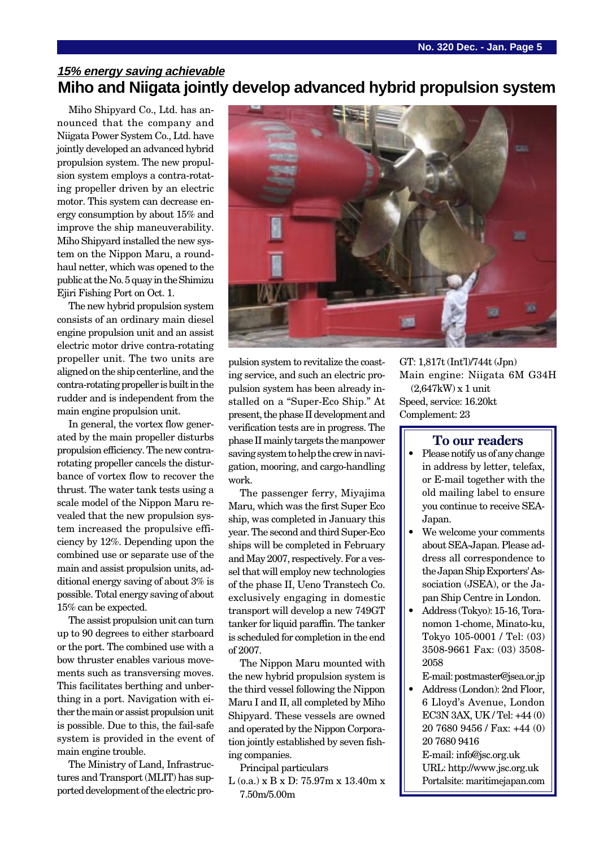## **15% energy saving achievable Miho and Niigata jointly develop advanced hybrid propulsion system**

Miho Shipyard Co., Ltd. has announced that the company and Niigata Power System Co., Ltd. have jointly developed an advanced hybrid propulsion system. The new propulsion system employs a contra-rotating propeller driven by an electric motor. This system can decrease energy consumption by about 15% and improve the ship maneuverability. Miho Shipyard installed the new system on the Nippon Maru, a roundhaul netter, which was opened to the public at the No. 5 quay in the Shimizu Ejiri Fishing Port on Oct. 1.

The new hybrid propulsion system consists of an ordinary main diesel engine propulsion unit and an assist electric motor drive contra-rotating propeller unit. The two units are aligned on the ship centerline, and the contra-rotating propeller is built in the rudder and is independent from the main engine propulsion unit.

In general, the vortex flow generated by the main propeller disturbs propulsion efficiency. The new contrarotating propeller cancels the disturbance of vortex flow to recover the thrust. The water tank tests using a scale model of the Nippon Maru revealed that the new propulsion system increased the propulsive efficiency by 12%. Depending upon the combined use or separate use of the main and assist propulsion units, additional energy saving of about 3% is possible. Total energy saving of about 15% can be expected.

The assist propulsion unit can turn up to 90 degrees to either starboard or the port. The combined use with a bow thruster enables various movements such as transversing moves. This facilitates berthing and unberthing in a port. Navigation with either the main or assist propulsion unit is possible. Due to this, the fail-safe system is provided in the event of main engine trouble.

The Ministry of Land, Infrastructures and Transport (MLIT) has supported development of the electric pro-



pulsion system to revitalize the coasting service, and such an electric propulsion system has been already installed on a "Super-Eco Ship." At present, the phase II development and verification tests are in progress. The phase II mainly targets the manpower saving system to help the crew in navigation, mooring, and cargo-handling work.

The passenger ferry, Miyajima Maru, which was the first Super Eco ship, was completed in January this year. The second and third Super-Eco ships will be completed in February and May 2007, respectively. For a vessel that will employ new technologies of the phase II, Ueno Transtech Co. exclusively engaging in domestic transport will develop a new 749GT tanker for liquid paraffin. The tanker is scheduled for completion in the end of 2007.

The Nippon Maru mounted with the new hybrid propulsion system is the third vessel following the Nippon Maru I and II, all completed by Miho Shipyard. These vessels are owned and operated by the Nippon Corporation jointly established by seven fishing companies.

Principal particulars

L (o.a.) x B x D: 75.97m x 13.40m x 7.50m/5.00m

GT: 1,817t (Int'l)/744t (Jpn) Main engine: Niigata 6M G34H (2,647kW) x 1 unit Speed, service: 16.20kt Complement: 23

#### **To our readers**

- Please notify us of any change in address by letter, telefax, or E-mail together with the old mailing label to ensure you continue to receive SEA-Japan.
- We welcome your comments about SEA-Japan. Please address all correspondence to the Japan Ship Exporters' Association (JSEA), or the Japan Ship Centre in London.
- Address (Tokyo): 15-16, Toranomon 1-chome, Minato-ku, Tokyo 105-0001 / Tel: (03) 3508-9661 Fax: (03) 3508- 2058

E-mail: postmaster@jsea.or.jp

• Address (London): 2nd Floor, 6 Lloyd's Avenue, London EC3N 3AX, UK / Tel: +44 (0) 20 7680 9456 / Fax: +44 (0) 20 7680 9416 E-mail: info@jsc.org.uk URL: http://www.jsc.org.uk Portalsite: maritimejapan.com